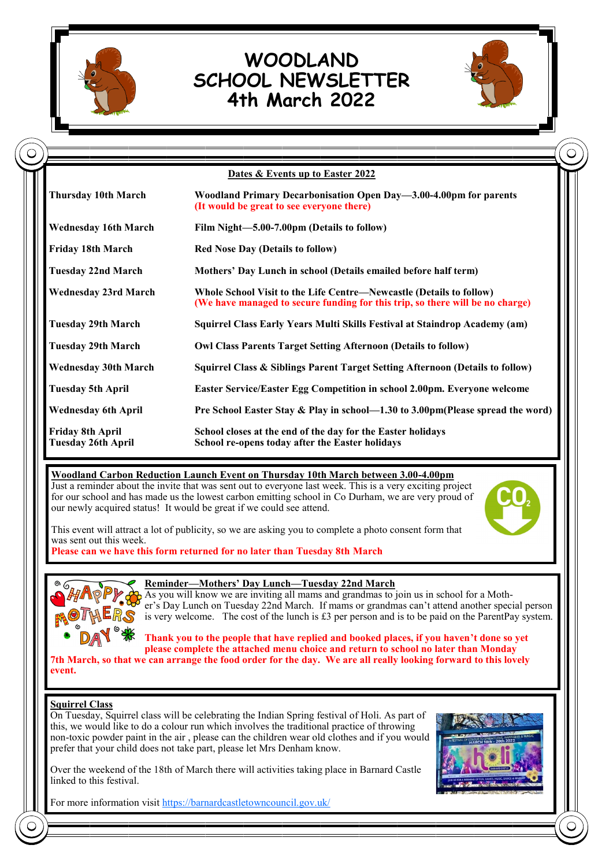

# **WOODLAND SCHOOL NEWSLETTER 4th March 2022**



|                                                      | Dates & Events up to Easter 2022                                                                                                                     |
|------------------------------------------------------|------------------------------------------------------------------------------------------------------------------------------------------------------|
| <b>Thursday 10th March</b>                           | Woodland Primary Decarbonisation Open Day-3.00-4.00pm for parents<br>(It would be great to see everyone there)                                       |
| <b>Wednesday 16th March</b>                          | Film Night-5.00-7.00pm (Details to follow)                                                                                                           |
| <b>Friday 18th March</b>                             | <b>Red Nose Day (Details to follow)</b>                                                                                                              |
| <b>Tuesday 22nd March</b>                            | Mothers' Day Lunch in school (Details emailed before half term)                                                                                      |
| <b>Wednesday 23rd March</b>                          | Whole School Visit to the Life Centre—Newcastle (Details to follow)<br>(We have managed to secure funding for this trip, so there will be no charge) |
| <b>Tuesday 29th March</b>                            | Squirrel Class Early Years Multi Skills Festival at Staindrop Academy (am)                                                                           |
| <b>Tuesday 29th March</b>                            | <b>Owl Class Parents Target Setting Afternoon (Details to follow)</b>                                                                                |
| <b>Wednesday 30th March</b>                          | Squirrel Class & Siblings Parent Target Setting Afternoon (Details to follow)                                                                        |
| <b>Tuesday 5th April</b>                             | Easter Service/Easter Egg Competition in school 2.00pm. Everyone welcome                                                                             |
| <b>Wednesday 6th April</b>                           | Pre School Easter Stay & Play in school-1.30 to 3.00pm(Please spread the word)                                                                       |
| <b>Friday 8th April</b><br><b>Tuesday 26th April</b> | School closes at the end of the day for the Easter holidays<br>School re-opens today after the Easter holidays                                       |

### **Woodland Carbon Reduction Launch Event on Thursday 10th March between 3.00-4.00pm**

Just a reminder about the invite that was sent out to everyone last week. This is a very exciting project for our school and has made us the lowest carbon emitting school in Co Durham, we are very proud of our newly acquired status! It would be great if we could see attend.



This event will attract a lot of publicity, so we are asking you to complete a photo consent form that was sent out this week.

**Please can we have this form returned for no later than Tuesday 8th March**



#### **Reminder—Mothers' Day Lunch—Tuesday 22nd March**

As you will know we are inviting all mams and grandmas to join us in school for a Mother's Day Lunch on Tuesday 22nd March. If mams or grandmas can't attend another special person is very welcome. The cost of the lunch is £3 per person and is to be paid on the ParentPay system.

**Thank you to the people that have replied and booked places, if you haven't done so yet please complete the attached menu choice and return to school no later than Monday 7th March, so that we can arrange the food order for the day. We are all really looking forward to this lovely** 

**event.**

#### **Squirrel Class**

On Tuesday, Squirrel class will be celebrating the Indian Spring festival of Holi. As part of this, we would like to do a colour run which involves the traditional practice of throwing non-toxic powder paint in the air , please can the children wear old clothes and if you would prefer that your child does not take part, please let Mrs Denham know.

Over the weekend of the 18th of March there will activities taking place in Barnard Castle linked to this festival.



For more information visit [https://barnardcastletowncouncil.gov.uk/](https://eur03.safelinks.protection.outlook.com/?url=https%3A%2F%2Fbarnardcastletowncouncil.gov.uk%2F&data=04%7C01%7Cp2428.admin%40durhamlearning.net%7C22c86ddba5054851dddb08d9fde0a182%7C45dfff5283644d73bf3a8f98bdf10d87%7C0%7C0%7C637819963482366088%7CUnknown%7)